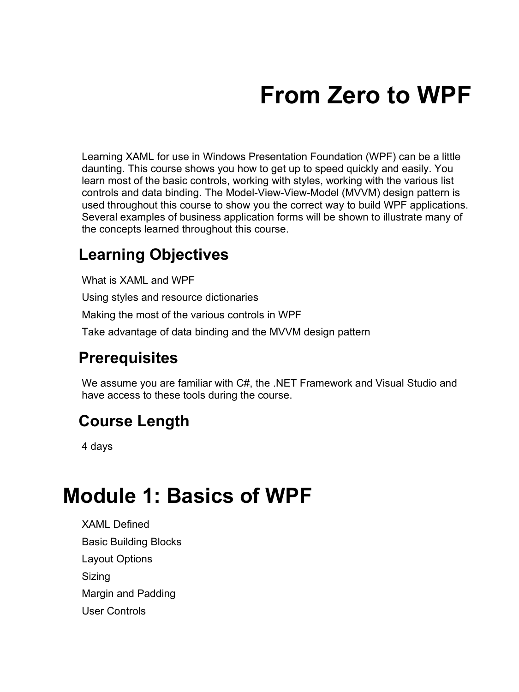# **From Zero to WPF**

Learning XAML for use in Windows Presentation Foundation (WPF) can be a little daunting. This course shows you how to get up to speed quickly and easily. You learn most of the basic controls, working with styles, working with the various list controls and data binding. The Model-View-View-Model (MVVM) design pattern is used throughout this course to show you the correct way to build WPF applications. Several examples of business application forms will be shown to illustrate many of the concepts learned throughout this course.

#### **Learning Objectives**

What is XAML and WPF Using styles and resource dictionaries Making the most of the various controls in WPF Take advantage of data binding and the MVVM design pattern **Prerequisites**

We assume you are familiar with C#, the .NET Framework and Visual Studio and have access to these tools during the course.

#### **Course Length**

4 days

# **Module 1: Basics of WPF**

XAML Defined Basic Building Blocks Layout Options **Sizing** Margin and Padding User Controls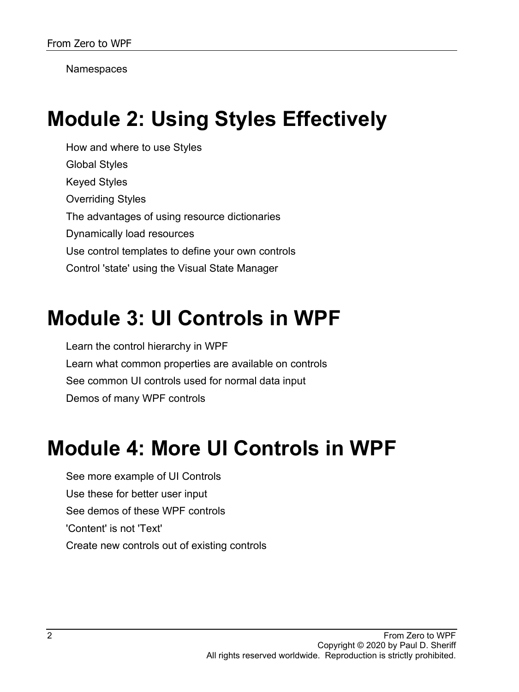**Namespaces** 

# **Module 2: Using Styles Effectively**

How and where to use Styles Global Styles Keyed Styles Overriding Styles The advantages of using resource dictionaries Dynamically load resources Use control templates to define your own controls Control 'state' using the Visual State Manager

# **Module 3: UI Controls in WPF**

Learn the control hierarchy in WPF Learn what common properties are available on controls See common UI controls used for normal data input Demos of many WPF controls

#### **Module 4: More UI Controls in WPF**

See more example of UI Controls Use these for better user input See demos of these WPF controls 'Content' is not 'Text' Create new controls out of existing controls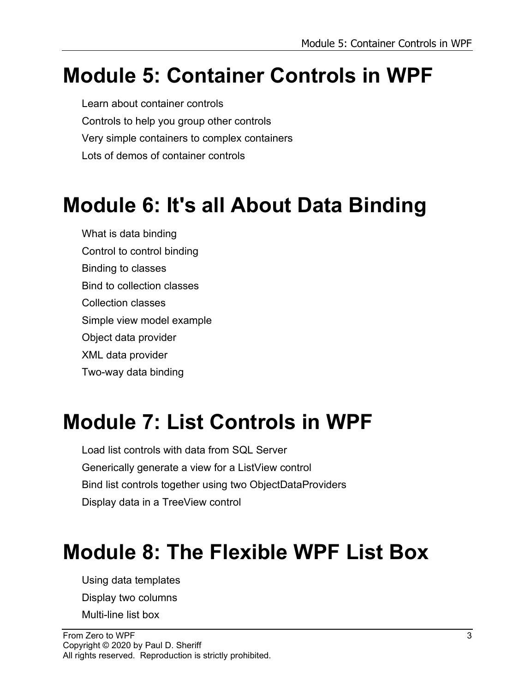# **Module 5: Container Controls in WPF**

Learn about container controls Controls to help you group other controls Very simple containers to complex containers Lots of demos of container controls

#### **Module 6: It's all About Data Binding**

What is data binding Control to control binding Binding to classes Bind to collection classes Collection classes Simple view model example Object data provider XML data provider Two-way data binding

# **Module 7: List Controls in WPF**

Load list controls with data from SQL Server Generically generate a view for a ListView control Bind list controls together using two ObjectDataProviders Display data in a TreeView control

#### **Module 8: The Flexible WPF List Box**

Using data templates Display two columns

Multi-line list box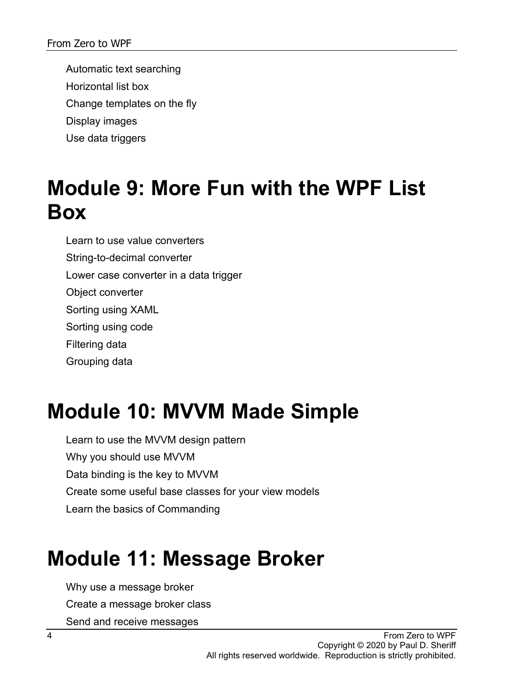Automatic text searching Horizontal list box Change templates on the fly Display images Use data triggers

## **Module 9: More Fun with the WPF List Box**

Learn to use value converters String-to-decimal converter Lower case converter in a data trigger Object converter Sorting using XAML Sorting using code Filtering data Grouping data

# **Module 10: MVVM Made Simple**

Learn to use the MVVM design pattern Why you should use MVVM Data binding is the key to MVVM Create some useful base classes for your view models Learn the basics of Commanding

# **Module 11: Message Broker**

Why use a message broker

Create a message broker class

Send and receive messages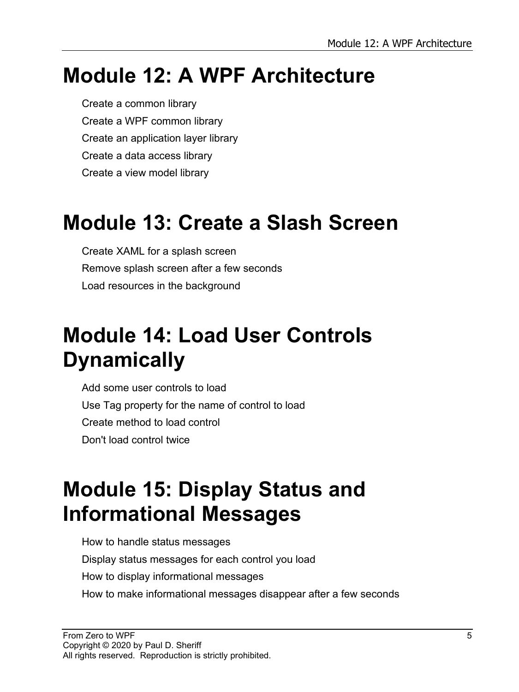# **Module 12: A WPF Architecture**

Create a common library Create a WPF common library Create an application layer library Create a data access library Create a view model library

# **Module 13: Create a Slash Screen**

Create XAML for a splash screen Remove splash screen after a few seconds Load resources in the background

# **Module 14: Load User Controls Dynamically**

Add some user controls to load Use Tag property for the name of control to load Create method to load control Don't load control twice

# **Module 15: Display Status and Informational Messages**

How to handle status messages Display status messages for each control you load How to display informational messages How to make informational messages disappear after a few seconds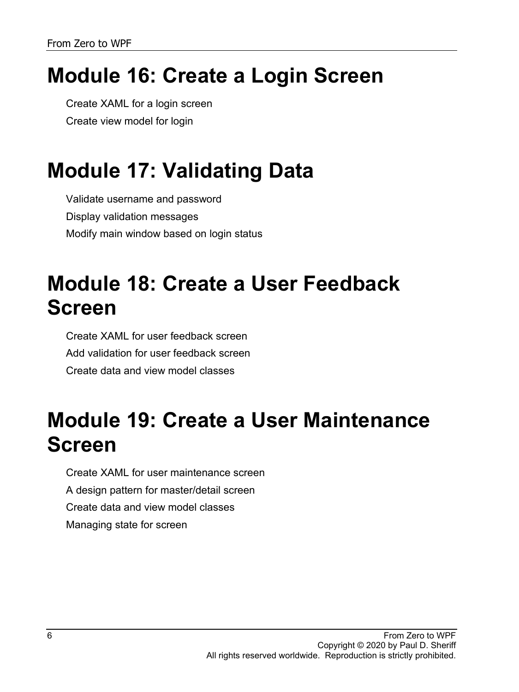# **Module 16: Create a Login Screen**

Create XAML for a login screen Create view model for login

# **Module 17: Validating Data**

Validate username and password Display validation messages Modify main window based on login status

# **Module 18: Create a User Feedback Screen**

Create XAML for user feedback screen Add validation for user feedback screen Create data and view model classes

# **Module 19: Create a User Maintenance Screen**

Create XAML for user maintenance screen A design pattern for master/detail screen Create data and view model classes Managing state for screen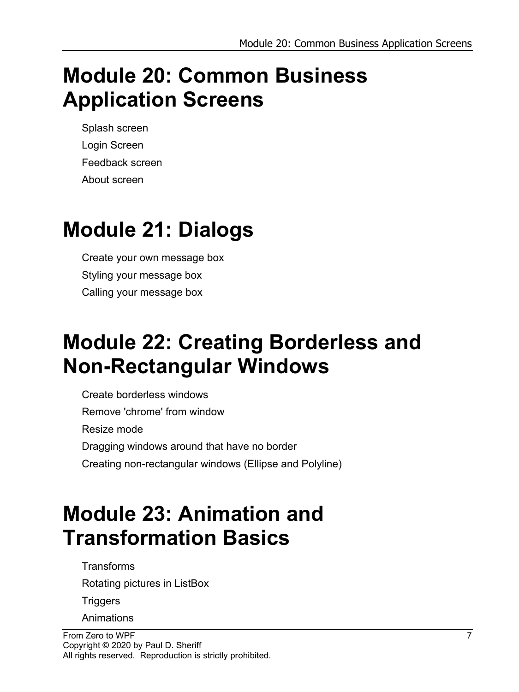# **Module 20: Common Business Application Screens**

Splash screen Login Screen Feedback screen About screen

# **Module 21: Dialogs**

Create your own message box Styling your message box Calling your message box

#### **Module 22: Creating Borderless and Non-Rectangular Windows**

Create borderless windows Remove 'chrome' from window Resize mode Dragging windows around that have no border Creating non-rectangular windows (Ellipse and Polyline)

# **Module 23: Animation and Transformation Basics**

**Transforms** Rotating pictures in ListBox

**Triggers** 

Animations